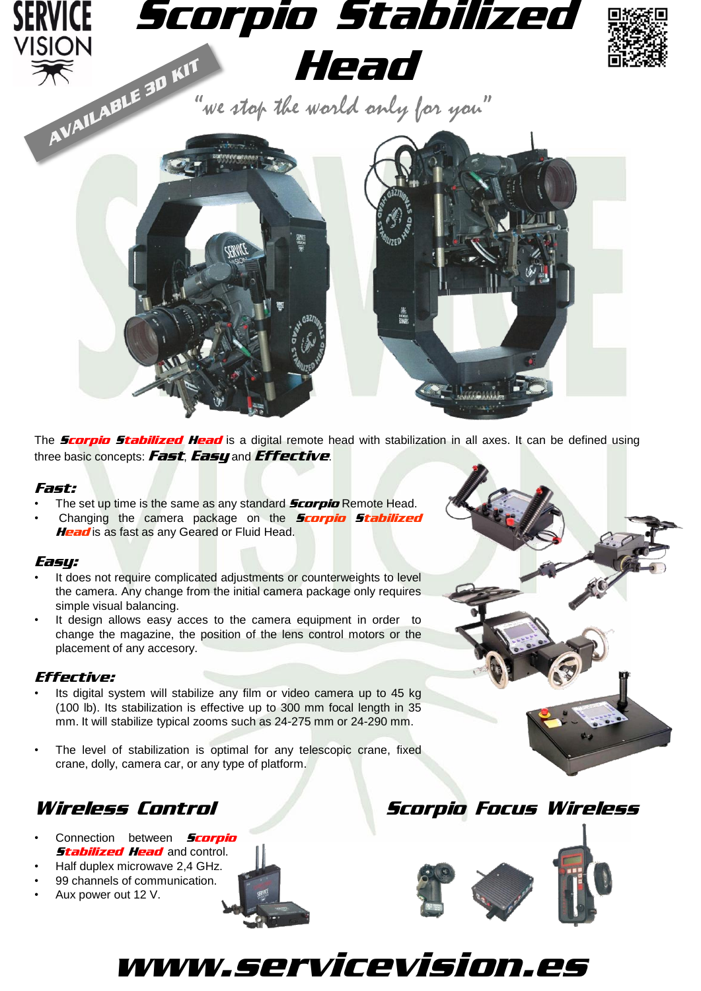

The **Scorpio Stabilized Head** is a digital remote head with stabilization in all axes. It can be defined using three basic concepts: Fast, Easy and Effective.

### Fast:

- The set up time is the same as any standard **Scorpio** Remote Head.
- Changing the camera package on the **Scorpio Stabilized** Head is as fast as any Geared or Fluid Head.

### Easy:

- It does not require complicated adjustments or counterweights to level the camera. Any change from the initial camera package only requires simple visual balancing.
- It design allows easy acces to the camera equipment in order to change the magazine, the position of the lens control motors or the placement of any accesory.

# Effective:

- Its digital system will stabilize any film or video camera up to 45 kg (100 lb). Its stabilization is effective up to 300 mm focal length in 35 mm. It will stabilize typical zooms such as 24-275 mm or 24-290 mm.
- The level of stabilization is optimal for any telescopic crane, fixed crane, dolly, camera car, or any type of platform.

# Wireless Control Scorpio Focus Wireless

- Connection between **Scorpio Stabilized Head and control.**
- Half duplex microwave 2,4 GHz.
- 99 channels of communication.
- Aux power out 12 V.